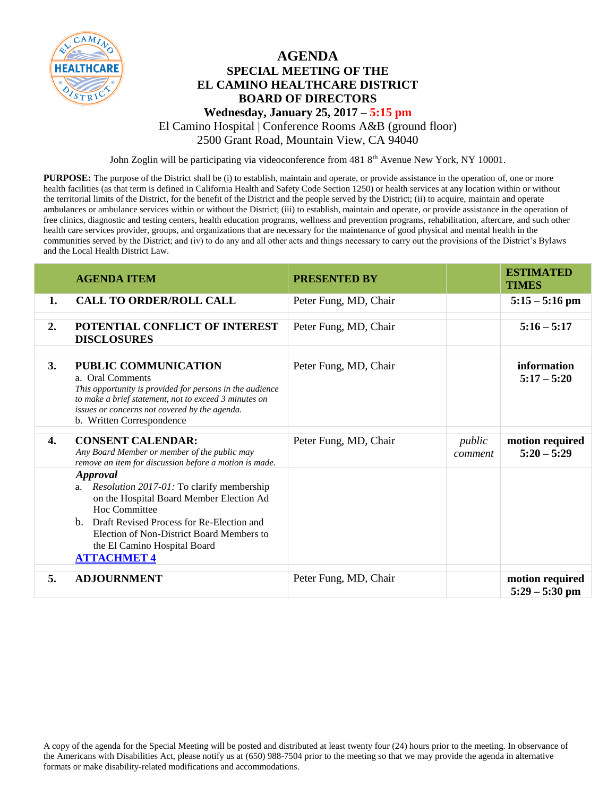

## **AGENDA SPECIAL MEETING OF THE EL CAMINO HEALTHCARE DISTRICT BOARD OF DIRECTORS**

#### **Wednesday, January 25, 2017 – 5:15 pm**

El Camino Hospital | Conference Rooms A&B (ground floor)

2500 Grant Road, Mountain View, CA 94040

John Zoglin will be participating via videoconference from 481 8<sup>th</sup> Avenue New York, NY 10001.

**PURPOSE:** The purpose of the District shall be (i) to establish, maintain and operate, or provide assistance in the operation of, one or more health facilities (as that term is defined in California Health and Safety Code Section 1250) or health services at any location within or without the territorial limits of the District, for the benefit of the District and the people served by the District; (ii) to acquire, maintain and operate ambulances or ambulance services within or without the District; (iii) to establish, maintain and operate, or provide assistance in the operation of free clinics, diagnostic and testing centers, health education programs, wellness and prevention programs, rehabilitation, aftercare, and such other health care services provider, groups, and organizations that are necessary for the maintenance of good physical and mental health in the communities served by the District; and (iv) to do any and all other acts and things necessary to carry out the provisions of the District's Bylaws and the Local Health District Law.

|    | <b>AGENDA ITEM</b>                                                                                                                                                                                                                                                                        | <b>PRESENTED BY</b>   |                   | <b>ESTIMATED</b><br><b>TIMES</b>    |
|----|-------------------------------------------------------------------------------------------------------------------------------------------------------------------------------------------------------------------------------------------------------------------------------------------|-----------------------|-------------------|-------------------------------------|
| 1. | <b>CALL TO ORDER/ROLL CALL</b>                                                                                                                                                                                                                                                            | Peter Fung, MD, Chair |                   | $5:15 - 5:16$ pm                    |
| 2. | POTENTIAL CONFLICT OF INTEREST<br><b>DISCLOSURES</b>                                                                                                                                                                                                                                      | Peter Fung, MD, Chair |                   | $5:16 - 5:17$                       |
| 3. | <b>PUBLIC COMMUNICATION</b><br>a. Oral Comments<br>This opportunity is provided for persons in the audience<br>to make a brief statement, not to exceed 3 minutes on<br>issues or concerns not covered by the agenda.<br>b. Written Correspondence                                        | Peter Fung, MD, Chair |                   | information<br>$5:17 - 5:20$        |
| 4. | <b>CONSENT CALENDAR:</b><br>Any Board Member or member of the public may<br>remove an item for discussion before a motion is made.                                                                                                                                                        | Peter Fung, MD, Chair | public<br>comment | motion required<br>$5:20 - 5:29$    |
|    | <b>Approval</b><br><i>Resolution 2017-01:</i> To clarify membership<br>a.<br>on the Hospital Board Member Election Ad<br>Hoc Committee<br>b. Draft Revised Process for Re-Election and<br>Election of Non-District Board Members to<br>the El Camino Hospital Board<br><b>ATTACHMET 4</b> |                       |                   |                                     |
| 5. | <b>ADJOURNMENT</b>                                                                                                                                                                                                                                                                        | Peter Fung, MD, Chair |                   | motion required<br>$5:29 - 5:30$ pm |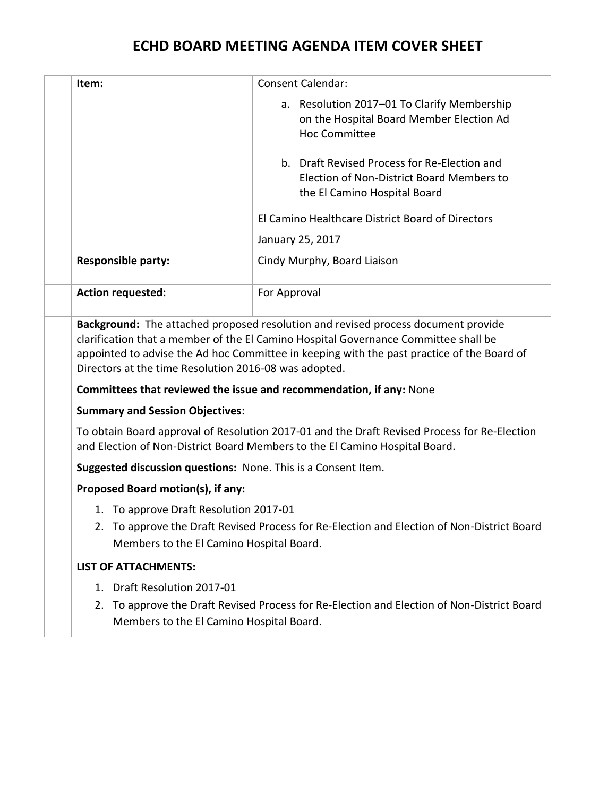# **ECHD BOARD MEETING AGENDA ITEM COVER SHEET**

<span id="page-1-0"></span>

| Item:                                                                                                                                                                                                                                                                                                                           | <b>Consent Calendar:</b>                                                                                                  |  |
|---------------------------------------------------------------------------------------------------------------------------------------------------------------------------------------------------------------------------------------------------------------------------------------------------------------------------------|---------------------------------------------------------------------------------------------------------------------------|--|
|                                                                                                                                                                                                                                                                                                                                 | a. Resolution 2017-01 To Clarify Membership<br>on the Hospital Board Member Election Ad                                   |  |
|                                                                                                                                                                                                                                                                                                                                 | <b>Hoc Committee</b>                                                                                                      |  |
|                                                                                                                                                                                                                                                                                                                                 | b. Draft Revised Process for Re-Election and<br>Election of Non-District Board Members to<br>the El Camino Hospital Board |  |
|                                                                                                                                                                                                                                                                                                                                 | El Camino Healthcare District Board of Directors                                                                          |  |
|                                                                                                                                                                                                                                                                                                                                 | January 25, 2017                                                                                                          |  |
| <b>Responsible party:</b>                                                                                                                                                                                                                                                                                                       | Cindy Murphy, Board Liaison                                                                                               |  |
| <b>Action requested:</b>                                                                                                                                                                                                                                                                                                        | For Approval                                                                                                              |  |
| Background: The attached proposed resolution and revised process document provide<br>clarification that a member of the El Camino Hospital Governance Committee shall be<br>appointed to advise the Ad hoc Committee in keeping with the past practice of the Board of<br>Directors at the time Resolution 2016-08 was adopted. |                                                                                                                           |  |
| Committees that reviewed the issue and recommendation, if any: None                                                                                                                                                                                                                                                             |                                                                                                                           |  |
| <b>Summary and Session Objectives:</b>                                                                                                                                                                                                                                                                                          |                                                                                                                           |  |
| To obtain Board approval of Resolution 2017-01 and the Draft Revised Process for Re-Election<br>and Election of Non-District Board Members to the El Camino Hospital Board.                                                                                                                                                     |                                                                                                                           |  |
| Suggested discussion questions: None. This is a Consent Item.                                                                                                                                                                                                                                                                   |                                                                                                                           |  |
| Proposed Board motion(s), if any:                                                                                                                                                                                                                                                                                               |                                                                                                                           |  |
| 1. To approve Draft Resolution 2017-01                                                                                                                                                                                                                                                                                          |                                                                                                                           |  |
| 2. To approve the Draft Revised Process for Re-Election and Election of Non-District Board<br>Members to the El Camino Hospital Board.                                                                                                                                                                                          |                                                                                                                           |  |
| <b>LIST OF ATTACHMENTS:</b>                                                                                                                                                                                                                                                                                                     |                                                                                                                           |  |
| 1. Draft Resolution 2017-01                                                                                                                                                                                                                                                                                                     |                                                                                                                           |  |
| 2. To approve the Draft Revised Process for Re-Election and Election of Non-District Board<br>Members to the El Camino Hospital Board.                                                                                                                                                                                          |                                                                                                                           |  |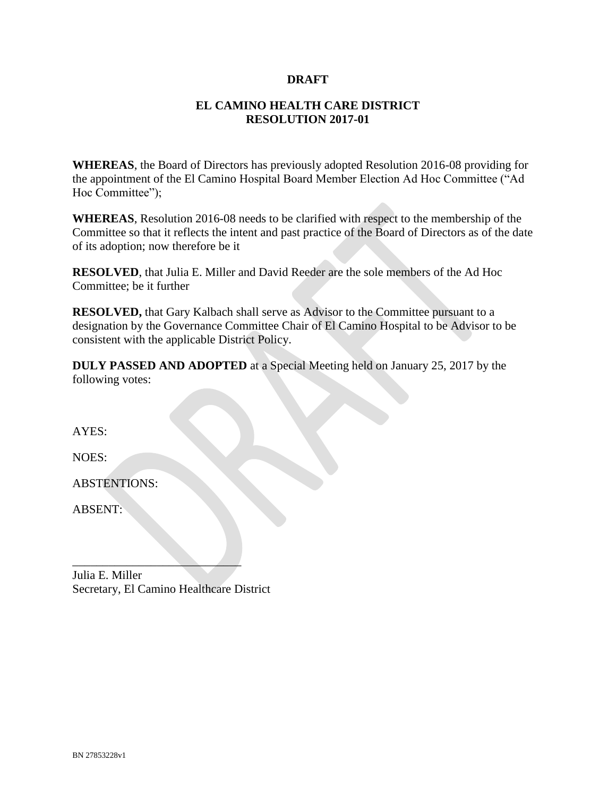#### **DRAFT**

### **EL CAMINO HEALTH CARE DISTRICT RESOLUTION 2017-01**

**WHEREAS**, the Board of Directors has previously adopted Resolution 2016-08 providing for the appointment of the El Camino Hospital Board Member Election Ad Hoc Committee ("Ad Hoc Committee");

**WHEREAS**, Resolution 2016-08 needs to be clarified with respect to the membership of the Committee so that it reflects the intent and past practice of the Board of Directors as of the date of its adoption; now therefore be it

**RESOLVED**, that Julia E. Miller and David Reeder are the sole members of the Ad Hoc Committee; be it further

**RESOLVED,** that Gary Kalbach shall serve as Advisor to the Committee pursuant to a designation by the Governance Committee Chair of El Camino Hospital to be Advisor to be consistent with the applicable District Policy.

**DULY PASSED AND ADOPTED** at a Special Meeting held on January 25, 2017 by the following votes:

AYES:

NOES:

ABSTENTIONS:

ABSENT:

 $\mathcal{L}$  , we can also the set of the set of the set of the set of the set of the set of the set of the set of the set of the set of the set of the set of the set of the set of the set of the set of the set of the set of Julia E. Miller Secretary, El Camino Healthcare District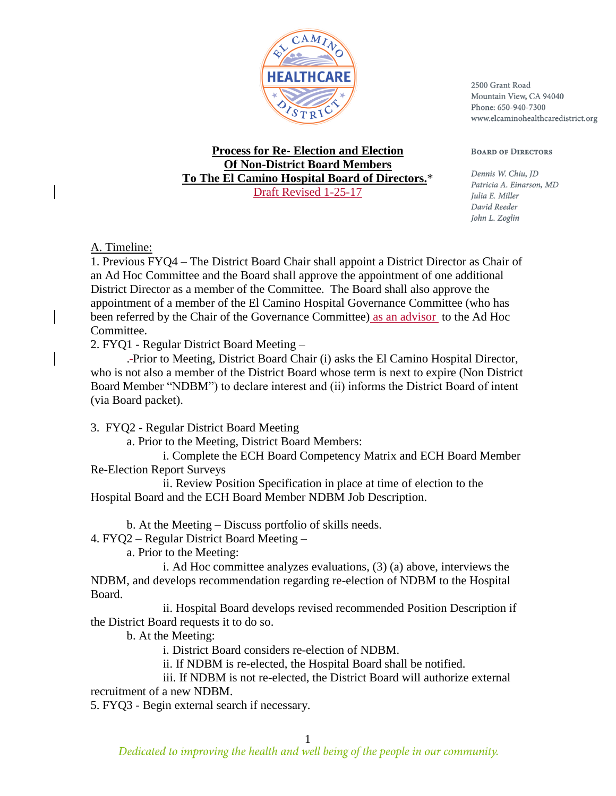

2500 Grant Road Mountain View, CA 94040 Phone: 650-940-7300 www.elcaminohealthcaredistrict.org

**BOARD OF DIRECTORS** 

#### **Process for Re- Election and Election Of Non-District Board Members To The El Camino Hospital Board of Directors.**\* Draft Revised 1-25-17

Dennis W. Chiu, ID Patricia A. Einarson, MD Julia E. Miller David Reeder John L. Zoglin

A. Timeline:

1. Previous FYQ4 – The District Board Chair shall appoint a District Director as Chair of an Ad Hoc Committee and the Board shall approve the appointment of one additional District Director as a member of the Committee. The Board shall also approve the appointment of a member of the El Camino Hospital Governance Committee (who has been referred by the Chair of the Governance Committee) as an advisor to the Ad Hoc Committee.

2. FYQ1 - Regular District Board Meeting –

. Prior to Meeting, District Board Chair (i) asks the El Camino Hospital Director, who is not also a member of the District Board whose term is next to expire (Non District Board Member "NDBM") to declare interest and (ii) informs the District Board of intent (via Board packet).

3. FYQ2 - Regular District Board Meeting

a. Prior to the Meeting, District Board Members:

i. Complete the ECH Board Competency Matrix and ECH Board Member Re-Election Report Surveys

ii. Review Position Specification in place at time of election to the Hospital Board and the ECH Board Member NDBM Job Description.

b. At the Meeting – Discuss portfolio of skills needs.

4. FYQ2 – Regular District Board Meeting –

a. Prior to the Meeting:

i. Ad Hoc committee analyzes evaluations, (3) (a) above, interviews the NDBM, and develops recommendation regarding re-election of NDBM to the Hospital Board.

ii. Hospital Board develops revised recommended Position Description if the District Board requests it to do so.

b. At the Meeting:

i. District Board considers re-election of NDBM.

ii. If NDBM is re-elected, the Hospital Board shall be notified.

iii. If NDBM is not re-elected, the District Board will authorize external recruitment of a new NDBM.

5. FYQ3 - Begin external search if necessary.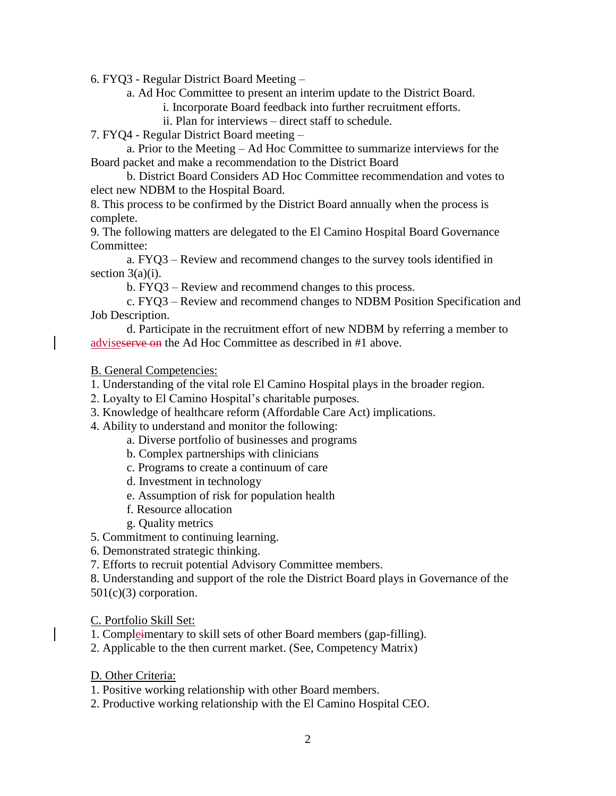6. FYQ3 - Regular District Board Meeting –

a. Ad Hoc Committee to present an interim update to the District Board.

i. Incorporate Board feedback into further recruitment efforts.

ii. Plan for interviews – direct staff to schedule.

7. FYQ4 - Regular District Board meeting –

a. Prior to the Meeting – Ad Hoc Committee to summarize interviews for the Board packet and make a recommendation to the District Board

b. District Board Considers AD Hoc Committee recommendation and votes to elect new NDBM to the Hospital Board.

8. This process to be confirmed by the District Board annually when the process is complete.

9. The following matters are delegated to the El Camino Hospital Board Governance Committee:

a. FYQ3 – Review and recommend changes to the survey tools identified in section 3(a)(i).

b. FYQ3 – Review and recommend changes to this process.

c. FYQ3 – Review and recommend changes to NDBM Position Specification and Job Description.

d. Participate in the recruitment effort of new NDBM by referring a member to adviseserve on the Ad Hoc Committee as described in #1 above.

B. General Competencies:

1. Understanding of the vital role El Camino Hospital plays in the broader region.

2. Loyalty to El Camino Hospital's charitable purposes.

3. Knowledge of healthcare reform (Affordable Care Act) implications.

4. Ability to understand and monitor the following:

a. Diverse portfolio of businesses and programs

- b. Complex partnerships with clinicians
- c. Programs to create a continuum of care
- d. Investment in technology
- e. Assumption of risk for population health
- f. Resource allocation
- g. Quality metrics

5. Commitment to continuing learning.

6. Demonstrated strategic thinking.

7. Efforts to recruit potential Advisory Committee members.

8. Understanding and support of the role the District Board plays in Governance of the  $501(c)(3)$  corporation.

C. Portfolio Skill Set:

1. Compleimentary to skill sets of other Board members (gap-filling).

2. Applicable to the then current market. (See, Competency Matrix)

D. Other Criteria:

1. Positive working relationship with other Board members.

2. Productive working relationship with the El Camino Hospital CEO.